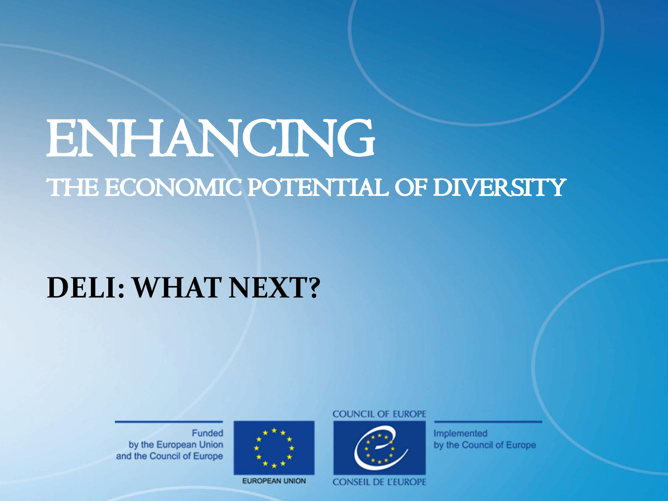#### ENHANCING ENHANCING THE ECONOMIC POTENTIAL OF DIVERSITY THE ECONOMIC POTENTIAL OF DIVERSITY

#### IAI INTAI :<br>Cities control cities control cities control cities control cities control cities control cities control cities **DELI: WHAT NEXT?**

Funded by the European Union and the Council of Europe



**EUROPEAN UNION** 

**COUNCIL OF EUROPE** 



Implemented by the Council of Europe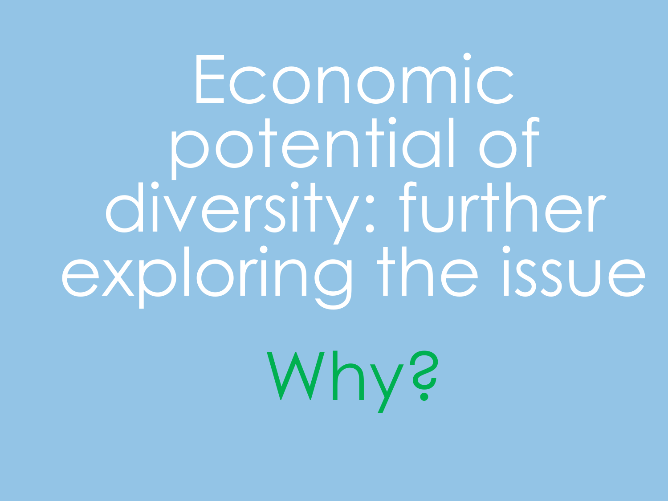Economic potential of diversity: further exploring the issue

Why?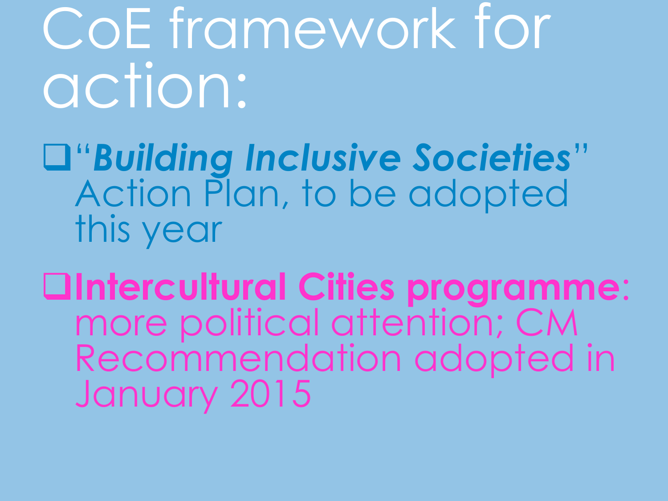CoE framework for action:

"*Building Inclusive Societies*" Action Plan, to be adopted this year

**Intercultural Cities programme**: more political attention; CM Recommendation adopted in January 2015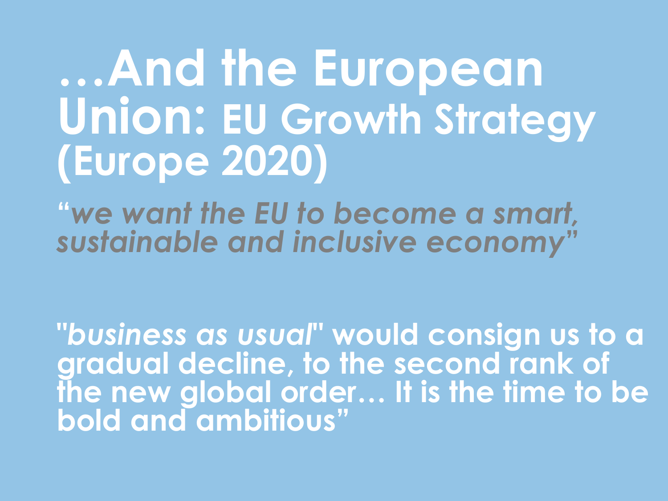### **…And the European Union: EU Growth Strategy (Europe 2020)**

**"***we want the EU to become a smart, sustainable and inclusive economy***"**

**"***business as usual***" would consign us to a gradual decline, to the second rank of the new global order… It is the time to be bold and ambitious"**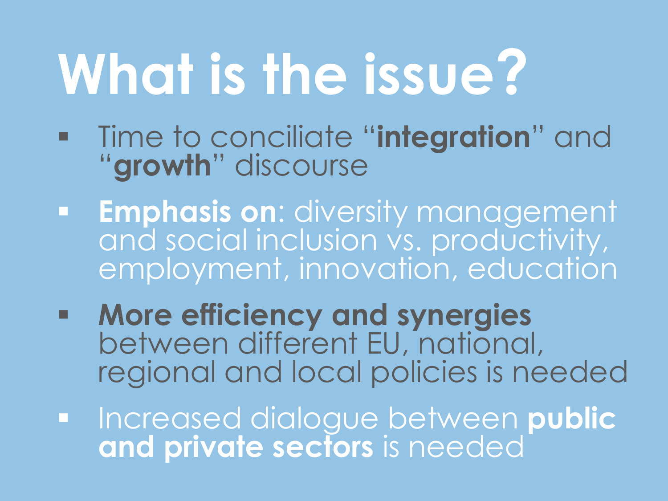# **What is the issue?**

- Time to conciliate "**integration**" and "**growth**" discourse
- **Emphasis on**: diversity management and social inclusion vs. productivity, employment, innovation, education
- **More efficiency and synergies**  between different EU, national, regional and local policies is needed
- Increased dialogue between **public and private sectors** is needed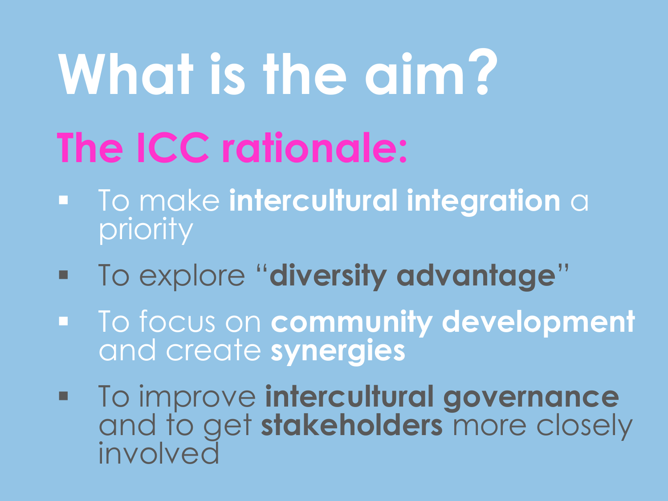# **What is the aim?**

## **The ICC rationale:**

- **To make intercultural integration** a priority
- To explore "**diversity advantage**"
- To focus on **community development**  and create **synergies**
- **To improve intercultural governance** and to get **stakeholders** more closely involved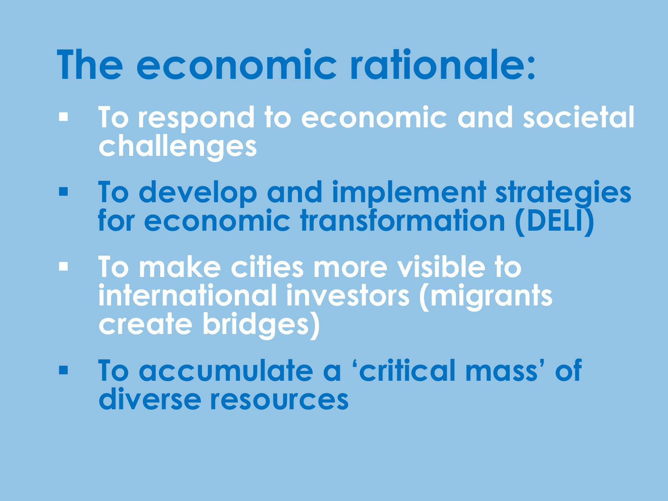#### **The economic rationale:**

- **To respond to economic and societal challenges**
- **To develop and implement strategies for economic transformation (DELI)**
- **To make cities more visible to international investors (migrants create bridges)**
- **To accumulate a 'critical mass' of diverse resources**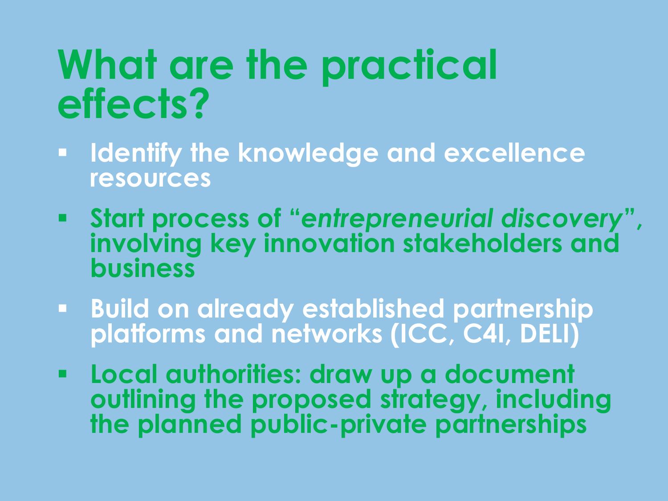#### **What are the practical effects?**

- **Identify the knowledge and excellence resources**
- **Start process of "***entrepreneurial discovery***", involving key innovation stakeholders and business**
- **Build on already established partnership platforms and networks (ICC, C4I, DELI)**
- **Local authorities: draw up a document outlining the proposed strategy, including the planned public-private partnerships**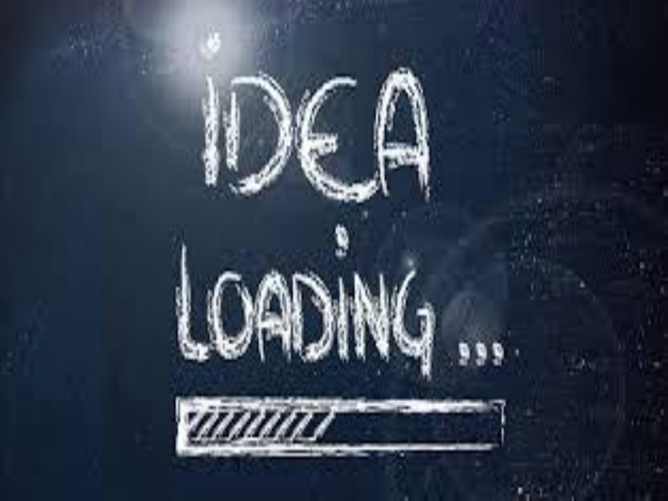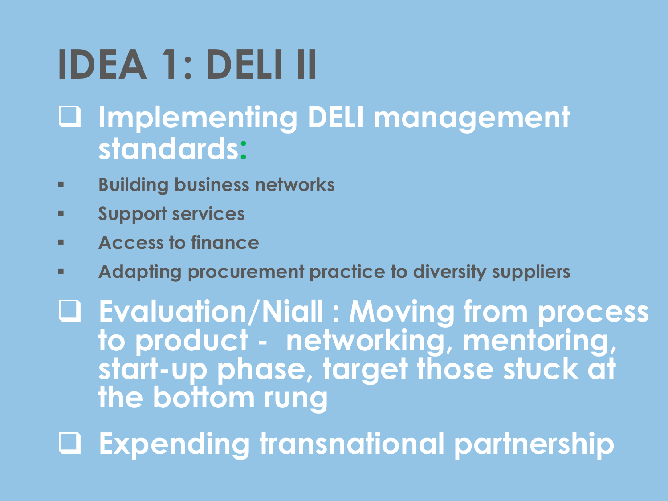### **IDEA 1: DELI II**

#### **Implementing DELI management standards:**

- **Building business networks**
- **Support services**
- **Access to finance**
- **Adapting procurement practice to diversity suppliers**

 **Evaluation/Niall : Moving from process to product - networking, mentoring, start-up phase, target those stuck at the bottom rung**

**Expending transnational partnership**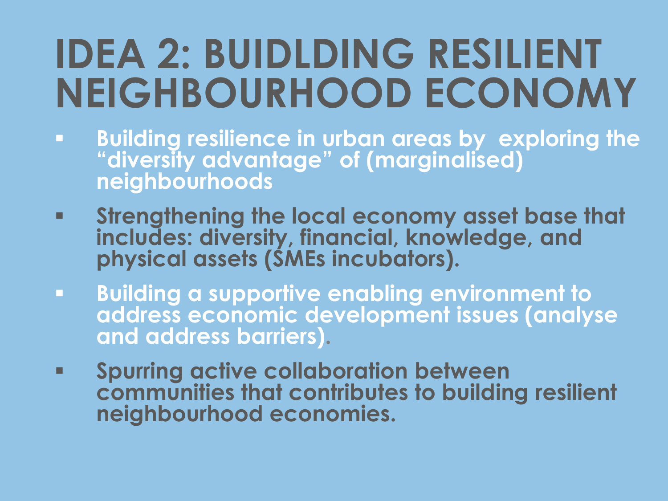#### **IDEA 2: BUIDLDING RESILIENT NEIGHBOURHOOD ECONOMY**

- **Building resilience in urban areas by exploring the "diversity advantage" of (marginalised) neighbourhoods**
- **Strengthening the local economy asset base that includes: diversity, financial, knowledge, and physical assets (SMEs incubators).**
- **Building a supportive enabling environment to address economic development issues (analyse and address barriers).**
- **Spurring active collaboration between communities that contributes to building resilient neighbourhood economies.**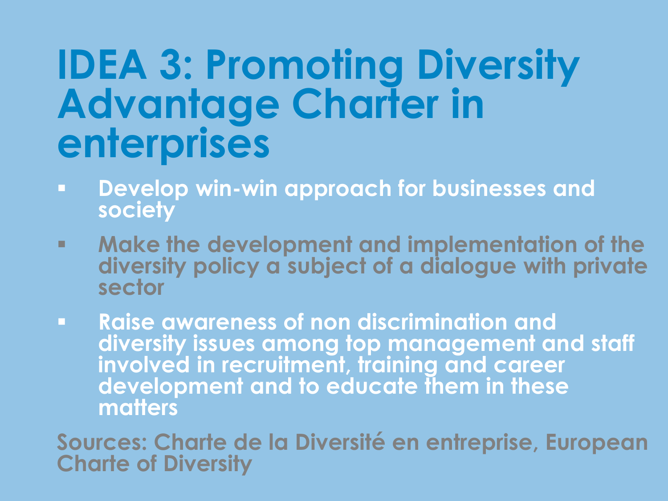#### **IDEA 3: Promoting Diversity Advantage Charter in enterprises**

- **Develop win-win approach for businesses and society**
- **Make the development and implementation of the diversity policy a subject of a dialogue with private sector**
- **Raise awareness of non discrimination and diversity issues among top management and staff involved in recruitment, training and career development and to educate them in these matters**

**Sources: Charte de la Diversité en entreprise, European Charte of Diversity**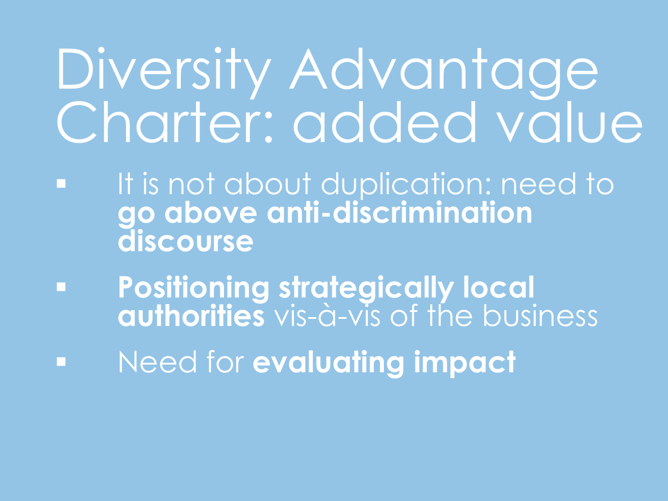## Diversity Advantage Charter: added value

- It is not about duplication: need to **go above anti-discrimination discourse**
- **Positioning strategically local authorities** vis-à-vis of the business
- Need for **evaluating impact**